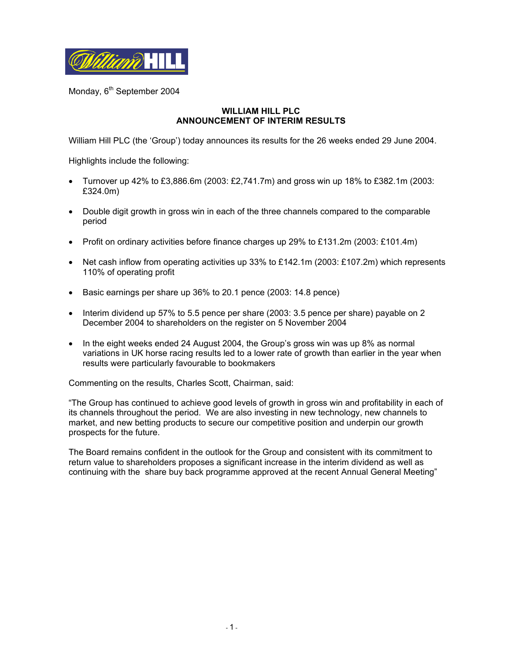

Monday, 6<sup>th</sup> September 2004

#### **WILLIAM HILL PLC ANNOUNCEMENT OF INTERIM RESULTS**

William Hill PLC (the 'Group') today announces its results for the 26 weeks ended 29 June 2004.

Highlights include the following:

- Turnover up 42% to £3,886.6m (2003: £2,741.7m) and gross win up 18% to £382.1m (2003: £324.0m)
- Double digit growth in gross win in each of the three channels compared to the comparable period
- Profit on ordinary activities before finance charges up 29% to £131.2m (2003: £101.4m)
- Net cash inflow from operating activities up 33% to £142.1m (2003: £107.2m) which represents 110% of operating profit
- Basic earnings per share up 36% to 20.1 pence (2003: 14.8 pence)
- Interim dividend up 57% to 5.5 pence per share (2003: 3.5 pence per share) payable on 2 December 2004 to shareholders on the register on 5 November 2004
- In the eight weeks ended 24 August 2004, the Group's gross win was up 8% as normal variations in UK horse racing results led to a lower rate of growth than earlier in the year when results were particularly favourable to bookmakers

Commenting on the results, Charles Scott, Chairman, said:

"The Group has continued to achieve good levels of growth in gross win and profitability in each of its channels throughout the period. We are also investing in new technology, new channels to market, and new betting products to secure our competitive position and underpin our growth prospects for the future.

The Board remains confident in the outlook for the Group and consistent with its commitment to return value to shareholders proposes a significant increase in the interim dividend as well as continuing with the share buy back programme approved at the recent Annual General Meeting"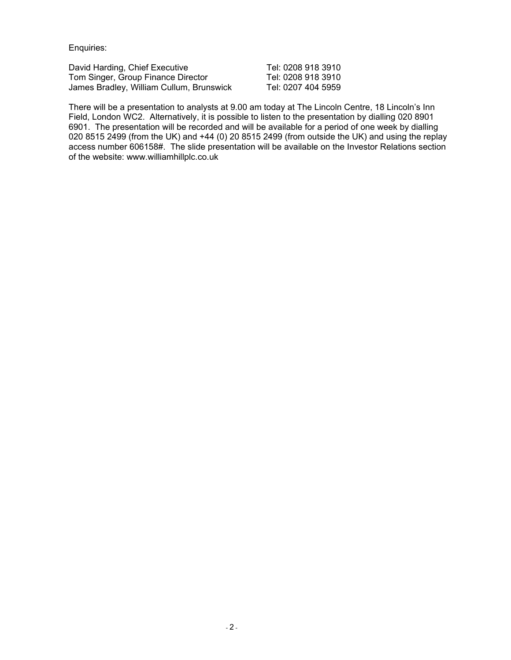Enquiries:

David Harding, Chief Executive Tel: 0208 918 3910 Tom Singer, Group Finance Director Tel: 0208 918 3910<br>James Bradley, William Cullum, Brunswick Tel: 0207 404 5959 James Bradley, William Cullum, Brunswick

There will be a presentation to analysts at 9.00 am today at The Lincoln Centre, 18 Lincoln's Inn Field, London WC2. Alternatively, it is possible to listen to the presentation by dialling 020 8901 6901. The presentation will be recorded and will be available for a period of one week by dialling 020 8515 2499 (from the UK) and +44 (0) 20 8515 2499 (from outside the UK) and using the replay access number 606158#. The slide presentation will be available on the Investor Relations section of the website: www.williamhillplc.co.uk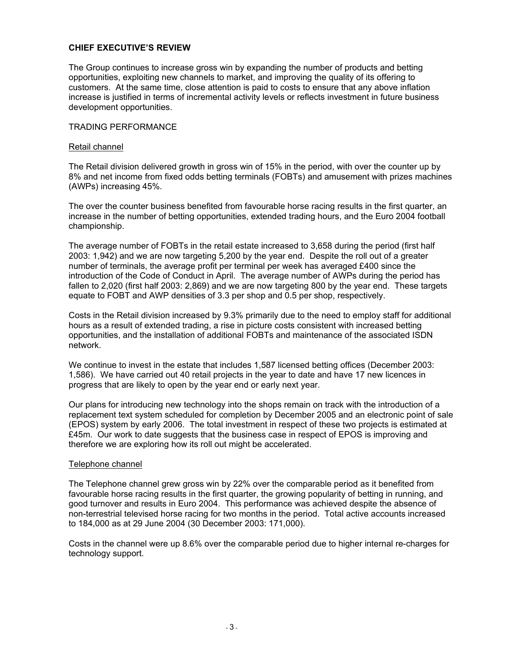### **CHIEF EXECUTIVE'S REVIEW**

The Group continues to increase gross win by expanding the number of products and betting opportunities, exploiting new channels to market, and improving the quality of its offering to customers. At the same time, close attention is paid to costs to ensure that any above inflation increase is justified in terms of incremental activity levels or reflects investment in future business development opportunities.

#### TRADING PERFORMANCE

#### Retail channel

The Retail division delivered growth in gross win of 15% in the period, with over the counter up by 8% and net income from fixed odds betting terminals (FOBTs) and amusement with prizes machines (AWPs) increasing 45%.

The over the counter business benefited from favourable horse racing results in the first quarter, an increase in the number of betting opportunities, extended trading hours, and the Euro 2004 football championship.

The average number of FOBTs in the retail estate increased to 3,658 during the period (first half 2003: 1,942) and we are now targeting 5,200 by the year end. Despite the roll out of a greater number of terminals, the average profit per terminal per week has averaged £400 since the introduction of the Code of Conduct in April. The average number of AWPs during the period has fallen to 2,020 (first half 2003: 2,869) and we are now targeting 800 by the year end. These targets equate to FOBT and AWP densities of 3.3 per shop and 0.5 per shop, respectively.

Costs in the Retail division increased by 9.3% primarily due to the need to employ staff for additional hours as a result of extended trading, a rise in picture costs consistent with increased betting opportunities, and the installation of additional FOBTs and maintenance of the associated ISDN network.

We continue to invest in the estate that includes 1,587 licensed betting offices (December 2003: 1,586). We have carried out 40 retail projects in the year to date and have 17 new licences in progress that are likely to open by the year end or early next year.

Our plans for introducing new technology into the shops remain on track with the introduction of a replacement text system scheduled for completion by December 2005 and an electronic point of sale (EPOS) system by early 2006. The total investment in respect of these two projects is estimated at £45m. Our work to date suggests that the business case in respect of EPOS is improving and therefore we are exploring how its roll out might be accelerated.

#### Telephone channel

The Telephone channel grew gross win by 22% over the comparable period as it benefited from favourable horse racing results in the first quarter, the growing popularity of betting in running, and good turnover and results in Euro 2004. This performance was achieved despite the absence of non-terrestrial televised horse racing for two months in the period. Total active accounts increased to 184,000 as at 29 June 2004 (30 December 2003: 171,000).

Costs in the channel were up 8.6% over the comparable period due to higher internal re-charges for technology support.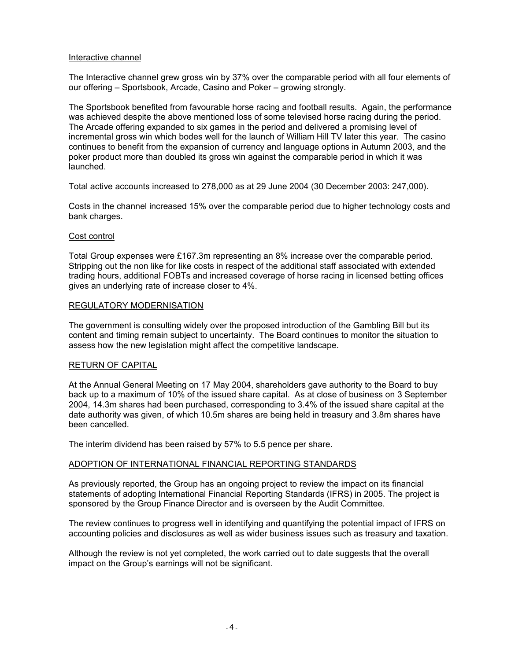#### Interactive channel

The Interactive channel grew gross win by 37% over the comparable period with all four elements of our offering – Sportsbook, Arcade, Casino and Poker – growing strongly.

The Sportsbook benefited from favourable horse racing and football results. Again, the performance was achieved despite the above mentioned loss of some televised horse racing during the period. The Arcade offering expanded to six games in the period and delivered a promising level of incremental gross win which bodes well for the launch of William Hill TV later this year. The casino continues to benefit from the expansion of currency and language options in Autumn 2003, and the poker product more than doubled its gross win against the comparable period in which it was launched.

Total active accounts increased to 278,000 as at 29 June 2004 (30 December 2003: 247,000).

Costs in the channel increased 15% over the comparable period due to higher technology costs and bank charges.

#### Cost control

Total Group expenses were £167.3m representing an 8% increase over the comparable period. Stripping out the non like for like costs in respect of the additional staff associated with extended trading hours, additional FOBTs and increased coverage of horse racing in licensed betting offices gives an underlying rate of increase closer to 4%.

#### REGULATORY MODERNISATION

The government is consulting widely over the proposed introduction of the Gambling Bill but its content and timing remain subject to uncertainty. The Board continues to monitor the situation to assess how the new legislation might affect the competitive landscape.

#### RETURN OF CAPITAL

At the Annual General Meeting on 17 May 2004, shareholders gave authority to the Board to buy back up to a maximum of 10% of the issued share capital. As at close of business on 3 September 2004, 14.3m shares had been purchased, corresponding to 3.4% of the issued share capital at the date authority was given, of which 10.5m shares are being held in treasury and 3.8m shares have been cancelled.

The interim dividend has been raised by 57% to 5.5 pence per share.

### ADOPTION OF INTERNATIONAL FINANCIAL REPORTING STANDARDS

As previously reported, the Group has an ongoing project to review the impact on its financial statements of adopting International Financial Reporting Standards (IFRS) in 2005. The project is sponsored by the Group Finance Director and is overseen by the Audit Committee.

The review continues to progress well in identifying and quantifying the potential impact of IFRS on accounting policies and disclosures as well as wider business issues such as treasury and taxation.

Although the review is not yet completed, the work carried out to date suggests that the overall impact on the Group's earnings will not be significant.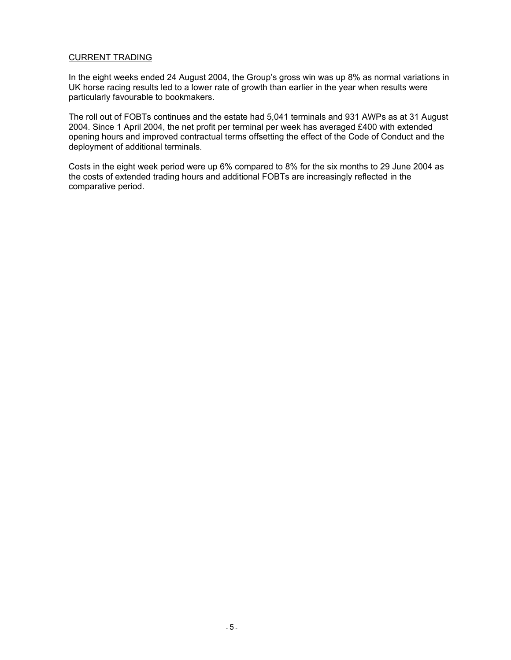#### CURRENT TRADING

In the eight weeks ended 24 August 2004, the Group's gross win was up 8% as normal variations in UK horse racing results led to a lower rate of growth than earlier in the year when results were particularly favourable to bookmakers.

The roll out of FOBTs continues and the estate had 5,041 terminals and 931 AWPs as at 31 August 2004. Since 1 April 2004, the net profit per terminal per week has averaged £400 with extended opening hours and improved contractual terms offsetting the effect of the Code of Conduct and the deployment of additional terminals.

Costs in the eight week period were up 6% compared to 8% for the six months to 29 June 2004 as the costs of extended trading hours and additional FOBTs are increasingly reflected in the comparative period.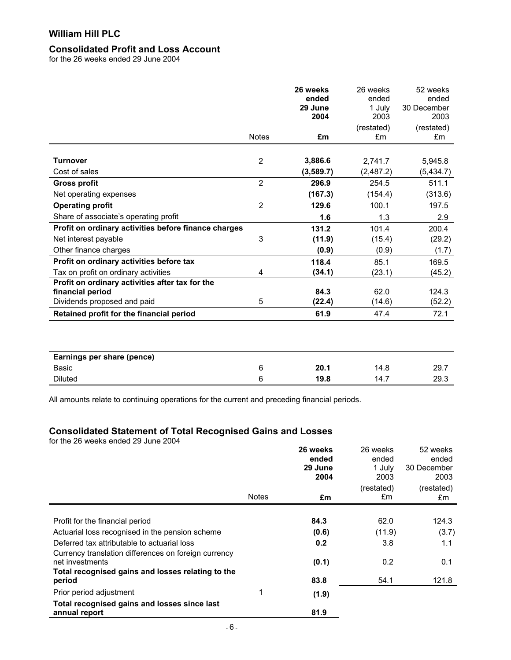### **Consolidated Profit and Loss Account**

for the 26 weeks ended 29 June 2004

|                                                      | <b>Notes</b>   | 26 weeks<br>ended<br>29 June<br>2004<br>£m | 26 weeks<br>ended<br>1 July<br>2003<br>(restated)<br>£m | 52 weeks<br>ended<br>30 December<br>2003<br>(restated)<br>£m |
|------------------------------------------------------|----------------|--------------------------------------------|---------------------------------------------------------|--------------------------------------------------------------|
|                                                      |                |                                            |                                                         |                                                              |
| <b>Turnover</b>                                      | $\overline{2}$ | 3,886.6                                    | 2,741.7                                                 | 5,945.8                                                      |
| Cost of sales                                        |                | (3,589.7)                                  | (2,487.2)                                               | (5,434.7)                                                    |
| <b>Gross profit</b>                                  | $\overline{2}$ | 296.9                                      | 254.5                                                   | 511.1                                                        |
| Net operating expenses                               |                | (167.3)                                    | (154.4)                                                 | (313.6)                                                      |
| <b>Operating profit</b>                              | $\overline{2}$ | 129.6                                      | 100.1                                                   | 197.5                                                        |
| Share of associate's operating profit                |                | 1.6                                        | 1.3                                                     | 2.9                                                          |
| Profit on ordinary activities before finance charges |                | 131.2                                      | 101.4                                                   | 200.4                                                        |
| Net interest payable                                 | 3              | (11.9)                                     | (15.4)                                                  | (29.2)                                                       |
| Other finance charges                                |                | (0.9)                                      | (0.9)                                                   | (1.7)                                                        |
| Profit on ordinary activities before tax             |                | 118.4                                      | 85.1                                                    | 169.5                                                        |
| Tax on profit on ordinary activities                 | 4              | (34.1)                                     | (23.1)                                                  | (45.2)                                                       |
| Profit on ordinary activities after tax for the      |                |                                            |                                                         |                                                              |
| financial period                                     |                | 84.3                                       | 62.0                                                    | 124.3                                                        |
| Dividends proposed and paid                          | 5              | (22.4)                                     | (14.6)                                                  | (52.2)                                                       |
| Retained profit for the financial period             |                | 61.9                                       | 47.4                                                    | 72.1                                                         |
| Earnings per share (pence)                           |                |                                            |                                                         |                                                              |
| Basic                                                | 6              | 20.1                                       | 14.8                                                    | 29.7                                                         |
| <b>Diluted</b>                                       | 6              | 19.8                                       | 14.7                                                    | 29.3                                                         |

All amounts relate to continuing operations for the current and preceding financial periods.

# **Consolidated Statement of Total Recognised Gains and Losses**

for the 26 weeks ended 29 June 2004

|                                                                         |              | 26 weeks<br>ended<br>29 June<br>2004 | 26 weeks<br>ended<br>1 July<br>2003 | 52 weeks<br>ended<br>30 December<br>2003 |
|-------------------------------------------------------------------------|--------------|--------------------------------------|-------------------------------------|------------------------------------------|
|                                                                         | <b>Notes</b> | £m                                   | (restated)<br>£m                    | (restated)<br>£m                         |
| Profit for the financial period                                         |              | 84.3                                 | 62.0                                | 124.3                                    |
| Actuarial loss recognised in the pension scheme                         |              | (0.6)                                | (11.9)                              | (3.7)                                    |
| Deferred tax attributable to actuarial loss                             |              | 0.2                                  | 3.8                                 | 1.1                                      |
| Currency translation differences on foreign currency<br>net investments |              | (0.1)                                | 0.2                                 | 0.1                                      |
| Total recognised gains and losses relating to the<br>period             |              | 83.8                                 | 54.1                                | 121.8                                    |
| Prior period adjustment                                                 |              | (1.9)                                |                                     |                                          |
| Total recognised gains and losses since last<br>annual report           |              | 81.9                                 |                                     |                                          |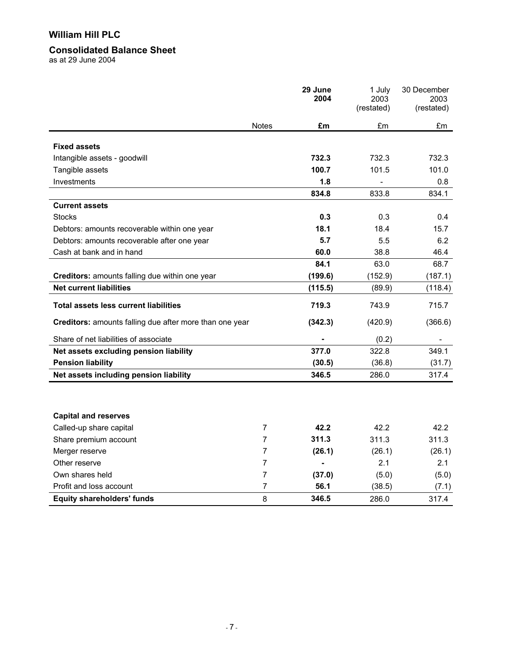### **Consolidated Balance Sheet**

as at 29 June 2004

|                                                         |                | 29 June<br>2004 | 1 July<br>2003<br>(restated) | 30 December<br>2003<br>(restated) |
|---------------------------------------------------------|----------------|-----------------|------------------------------|-----------------------------------|
|                                                         | <b>Notes</b>   | £m              | £m                           | £m                                |
| <b>Fixed assets</b>                                     |                |                 |                              |                                   |
| Intangible assets - goodwill                            |                | 732.3           | 732.3                        | 732.3                             |
| Tangible assets                                         |                | 100.7           | 101.5                        | 101.0                             |
| Investments                                             |                | 1.8             |                              | 0.8                               |
|                                                         |                | 834.8           | 833.8                        | 834.1                             |
| <b>Current assets</b>                                   |                |                 |                              |                                   |
| <b>Stocks</b>                                           |                | 0.3             | 0.3                          | 0.4                               |
| Debtors: amounts recoverable within one year            |                | 18.1            | 18.4                         | 15.7                              |
| Debtors: amounts recoverable after one year             |                | 5.7             | 5.5                          | 6.2                               |
| Cash at bank and in hand                                |                | 60.0            | 38.8                         | 46.4                              |
|                                                         |                | 84.1            | 63.0                         | 68.7                              |
| Creditors: amounts falling due within one year          |                | (199.6)         | (152.9)                      | (187.1)                           |
| <b>Net current liabilities</b>                          |                | (115.5)         | (89.9)                       | (118.4)                           |
| <b>Total assets less current liabilities</b>            |                | 719.3           | 743.9                        | 715.7                             |
| Creditors: amounts falling due after more than one year |                | (342.3)         | (420.9)                      | (366.6)                           |
| Share of net liabilities of associate                   |                |                 | (0.2)                        |                                   |
| Net assets excluding pension liability                  |                | 377.0           | 322.8                        | 349.1                             |
| <b>Pension liability</b>                                |                | (30.5)          | (36.8)                       | (31.7)                            |
| Net assets including pension liability                  |                | 346.5           | 286.0                        | 317.4                             |
|                                                         |                |                 |                              |                                   |
| <b>Capital and reserves</b>                             |                |                 |                              |                                   |
| Called-up share capital                                 | 7              | 42.2            | 42.2                         | 42.2                              |
| Share premium account                                   | 7              | 311.3           | 311.3                        | 311.3                             |
| Merger reserve                                          | 7              | (26.1)          | (26.1)                       | (26.1)                            |
| Other reserve                                           | 7              | ä,              | 2.1                          | 2.1                               |
| Own shares held                                         | 7              | (37.0)          | (5.0)                        | (5.0)                             |
| Profit and loss account                                 | $\overline{7}$ | 56.1            | (38.5)                       | (7.1)                             |
| <b>Equity shareholders' funds</b>                       | 8              | 346.5           | 286.0                        | 317.4                             |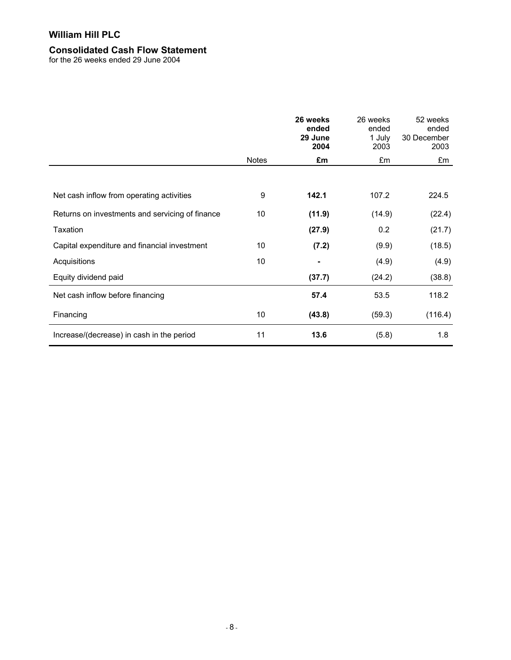### **Consolidated Cash Flow Statement**

for the 26 weeks ended 29 June 2004

|                                                 |              | 26 weeks<br>ended<br>29 June<br>2004 | 26 weeks<br>ended<br>1 July<br>2003 | 52 weeks<br>ended<br>30 December<br>2003 |
|-------------------------------------------------|--------------|--------------------------------------|-------------------------------------|------------------------------------------|
|                                                 | <b>Notes</b> | £m                                   | £m                                  | £m                                       |
|                                                 |              |                                      |                                     |                                          |
| Net cash inflow from operating activities       | 9            | 142.1                                | 107.2                               | 224.5                                    |
| Returns on investments and servicing of finance | 10           | (11.9)                               | (14.9)                              | (22.4)                                   |
| Taxation                                        |              | (27.9)                               | 0.2                                 | (21.7)                                   |
| Capital expenditure and financial investment    | 10           | (7.2)                                | (9.9)                               | (18.5)                                   |
| Acquisitions                                    | 10           |                                      | (4.9)                               | (4.9)                                    |
| Equity dividend paid                            |              | (37.7)                               | (24.2)                              | (38.8)                                   |
| Net cash inflow before financing                |              | 57.4                                 | 53.5                                | 118.2                                    |
| Financing                                       | 10           | (43.8)                               | (59.3)                              | (116.4)                                  |
| Increase/(decrease) in cash in the period       | 11           | 13.6                                 | (5.8)                               | 1.8                                      |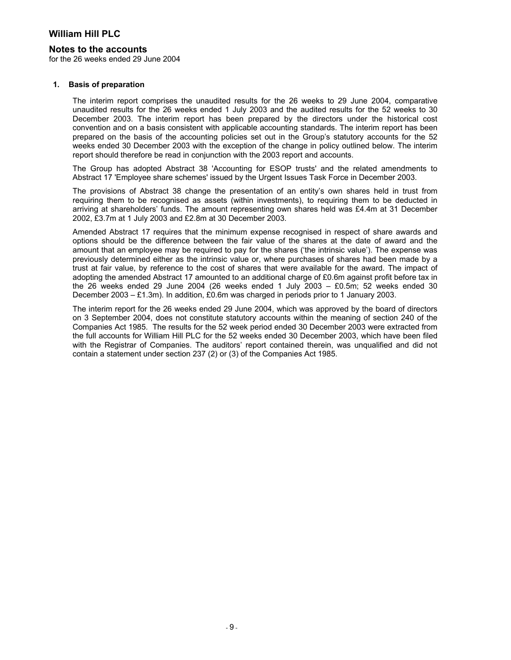#### **Notes to the accounts**

for the 26 weeks ended 29 June 2004

#### **1. Basis of preparation**

The interim report comprises the unaudited results for the 26 weeks to 29 June 2004, comparative unaudited results for the 26 weeks ended 1 July 2003 and the audited results for the 52 weeks to 30 December 2003. The interim report has been prepared by the directors under the historical cost convention and on a basis consistent with applicable accounting standards. The interim report has been prepared on the basis of the accounting policies set out in the Group's statutory accounts for the 52 weeks ended 30 December 2003 with the exception of the change in policy outlined below. The interim report should therefore be read in conjunction with the 2003 report and accounts.

The Group has adopted Abstract 38 'Accounting for ESOP trusts' and the related amendments to Abstract 17 'Employee share schemes' issued by the Urgent Issues Task Force in December 2003.

The provisions of Abstract 38 change the presentation of an entity's own shares held in trust from requiring them to be recognised as assets (within investments), to requiring them to be deducted in arriving at shareholders' funds. The amount representing own shares held was £4.4m at 31 December 2002, £3.7m at 1 July 2003 and £2.8m at 30 December 2003.

Amended Abstract 17 requires that the minimum expense recognised in respect of share awards and options should be the difference between the fair value of the shares at the date of award and the amount that an employee may be required to pay for the shares ('the intrinsic value'). The expense was previously determined either as the intrinsic value or, where purchases of shares had been made by a trust at fair value, by reference to the cost of shares that were available for the award. The impact of adopting the amended Abstract 17 amounted to an additional charge of £0.6m against profit before tax in the 26 weeks ended 29 June 2004 (26 weeks ended 1 July 2003 –  $E0.5m$ ; 52 weeks ended 30 December 2003 – £1.3m). In addition, £0.6m was charged in periods prior to 1 January 2003.

The interim report for the 26 weeks ended 29 June 2004, which was approved by the board of directors on 3 September 2004, does not constitute statutory accounts within the meaning of section 240 of the Companies Act 1985. The results for the 52 week period ended 30 December 2003 were extracted from the full accounts for William Hill PLC for the 52 weeks ended 30 December 2003, which have been filed with the Registrar of Companies. The auditors' report contained therein, was unqualified and did not contain a statement under section 237 (2) or (3) of the Companies Act 1985.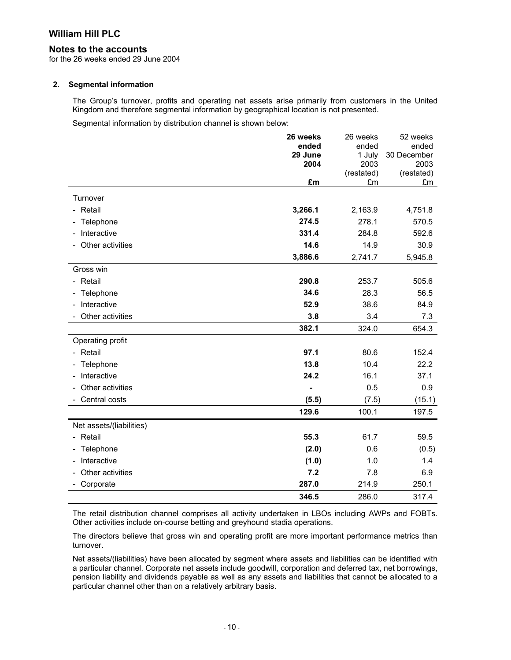#### **Notes to the accounts**

for the 26 weeks ended 29 June 2004

#### **2. Segmental information**

The Group's turnover, profits and operating net assets arise primarily from customers in the United Kingdom and therefore segmental information by geographical location is not presented.

Segmental information by distribution channel is shown below:

|                                         | 26 weeks         | 26 weeks        | 52 weeks             |
|-----------------------------------------|------------------|-----------------|----------------------|
|                                         | ended<br>29 June | ended<br>1 July | ended<br>30 December |
|                                         | 2004             | 2003            | 2003                 |
|                                         |                  | (restated)      | (restated)           |
|                                         | £m               | £m              | £m                   |
| Turnover                                |                  |                 |                      |
| - Retail                                | 3,266.1          | 2,163.9         | 4,751.8              |
| Telephone<br>۰.                         | 274.5            | 278.1           | 570.5                |
| - Interactive                           | 331.4            | 284.8           | 592.6                |
| Other activities                        | 14.6             | 14.9            | 30.9                 |
|                                         | 3,886.6          | 2,741.7         | 5,945.8              |
| Gross win                               |                  |                 |                      |
| Retail                                  | 290.8            | 253.7           | 505.6                |
| Telephone<br>$\overline{\phantom{a}}$   | 34.6             | 28.3            | 56.5                 |
| Interactive                             | 52.9             | 38.6            | 84.9                 |
| Other activities                        | 3.8              | 3.4             | 7.3                  |
|                                         | 382.1            | 324.0           | 654.3                |
| Operating profit                        |                  |                 |                      |
| - Retail                                | 97.1             | 80.6            | 152.4                |
| Telephone                               | 13.8             | 10.4            | 22.2                 |
| Interactive<br>$\overline{\phantom{0}}$ | 24.2             | 16.1            | 37.1                 |
| Other activities                        |                  | 0.5             | 0.9                  |
| Central costs                           | (5.5)            | (7.5)           | (15.1)               |
|                                         | 129.6            | 100.1           | 197.5                |
| Net assets/(liabilities)                |                  |                 |                      |
| - Retail                                | 55.3             | 61.7            | 59.5                 |
| Telephone<br>-                          | (2.0)            | 0.6             | (0.5)                |
| Interactive                             | (1.0)            | 1.0             | 1.4                  |
| Other activities                        | 7.2              | 7.8             | 6.9                  |
| Corporate                               | 287.0            | 214.9           | 250.1                |
|                                         | 346.5            | 286.0           | 317.4                |

The retail distribution channel comprises all activity undertaken in LBOs including AWPs and FOBTs. Other activities include on-course betting and greyhound stadia operations.

The directors believe that gross win and operating profit are more important performance metrics than turnover.

Net assets/(liabilities) have been allocated by segment where assets and liabilities can be identified with a particular channel. Corporate net assets include goodwill, corporation and deferred tax, net borrowings, pension liability and dividends payable as well as any assets and liabilities that cannot be allocated to a particular channel other than on a relatively arbitrary basis.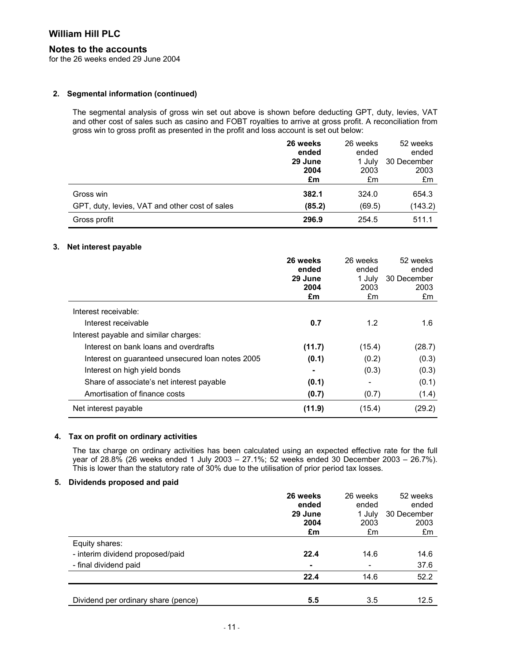#### **Notes to the accounts**

for the 26 weeks ended 29 June 2004

#### **2. Segmental information (continued)**

The segmental analysis of gross win set out above is shown before deducting GPT, duty, levies, VAT and other cost of sales such as casino and FOBT royalties to arrive at gross profit. A reconciliation from gross win to gross profit as presented in the profit and loss account is set out below:

|                                                | 26 weeks<br>ended | 26 weeks<br>ended | 52 weeks<br>ended |
|------------------------------------------------|-------------------|-------------------|-------------------|
|                                                | 29 June           | 1 July            | 30 December       |
|                                                | 2004              | 2003              | 2003              |
|                                                | £m                | £m                | £m                |
| Gross win                                      | 382.1             | 324.0             | 654.3             |
| GPT, duty, levies, VAT and other cost of sales | (85.2)            | (69.5)            | (143.2)           |
| Gross profit                                   | 296.9             | 254.5             | 511.1             |

#### **3. Net interest payable**

|                                                  | 26 weeks<br>ended | 26 weeks<br>ended | 52 weeks<br>ended |
|--------------------------------------------------|-------------------|-------------------|-------------------|
|                                                  | 29 June           | 1 July            | 30 December       |
|                                                  | 2004              | 2003              | 2003              |
|                                                  | £m                | £m                | £m                |
| Interest receivable:                             |                   |                   |                   |
| Interest receivable                              | 0.7               | 1.2               | 1.6               |
| Interest payable and similar charges:            |                   |                   |                   |
| Interest on bank loans and overdrafts            | (11.7)            | (15.4)            | (28.7)            |
| Interest on guaranteed unsecured loan notes 2005 | (0.1)             | (0.2)             | (0.3)             |
| Interest on high yield bonds                     |                   | (0.3)             | (0.3)             |
| Share of associate's net interest payable        | (0.1)             |                   | (0.1)             |
| Amortisation of finance costs                    | (0.7)             | (0.7)             | (1.4)             |
| Net interest payable                             | (11.9)            | (15.4)            | (29.2)            |

### **4. Tax on profit on ordinary activities**

The tax charge on ordinary activities has been calculated using an expected effective rate for the full year of 28.8% (26 weeks ended 1 July 2003 – 27.1%; 52 weeks ended 30 December 2003 – 26.7%). This is lower than the statutory rate of 30% due to the utilisation of prior period tax losses.

#### **5. Dividends proposed and paid**

|                                     | 26 weeks<br>ended | 26 weeks<br>ended | 52 weeks<br>ended |
|-------------------------------------|-------------------|-------------------|-------------------|
|                                     | 29 June           | 1 July            | 30 December       |
|                                     | 2004              | 2003              | 2003              |
|                                     | £m                | £m                | £m                |
| Equity shares:                      |                   |                   |                   |
| - interim dividend proposed/paid    | 22.4              | 14.6              | 14.6              |
| - final dividend paid               | ٠                 |                   | 37.6              |
|                                     | 22.4              | 14.6              | 52.2              |
|                                     |                   |                   |                   |
| Dividend per ordinary share (pence) | 5.5               | 3.5               | 12.5              |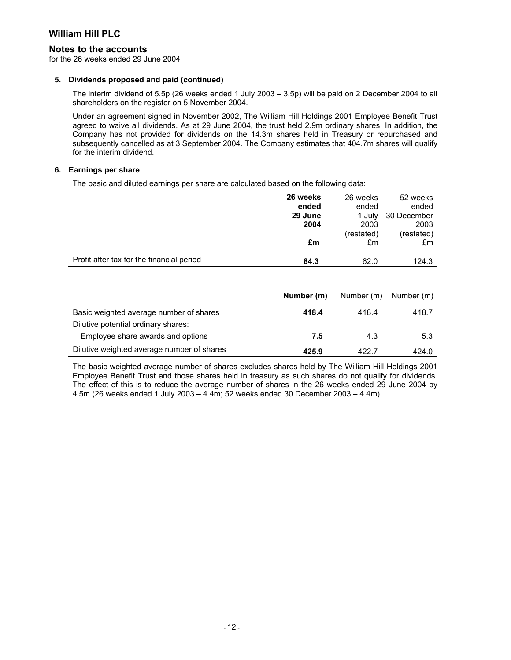#### **Notes to the accounts**

for the 26 weeks ended 29 June 2004

#### **5. Dividends proposed and paid (continued)**

The interim dividend of 5.5p (26 weeks ended 1 July 2003 – 3.5p) will be paid on 2 December 2004 to all shareholders on the register on 5 November 2004.

Under an agreement signed in November 2002, The William Hill Holdings 2001 Employee Benefit Trust agreed to waive all dividends. As at 29 June 2004, the trust held 2.9m ordinary shares. In addition, the Company has not provided for dividends on the 14.3m shares held in Treasury or repurchased and subsequently cancelled as at 3 September 2004. The Company estimates that 404.7m shares will qualify for the interim dividend.

#### **6. Earnings per share**

The basic and diluted earnings per share are calculated based on the following data:

|                                           | 26 weeks | 26 weeks   | 52 weeks    |
|-------------------------------------------|----------|------------|-------------|
|                                           | ended    | ended      | ended       |
|                                           | 29 June  | 1 July     | 30 December |
|                                           | 2004     | 2003       | 2003        |
|                                           |          | (restated) | (restated)  |
|                                           | £m       | £m         | £m          |
|                                           |          |            |             |
| Profit after tax for the financial period | 84.3     | 62.0       | 124.3       |

|                                            | Number (m) | Number (m) | Number (m) |
|--------------------------------------------|------------|------------|------------|
| Basic weighted average number of shares    | 418.4      | 418.4      | 418.7      |
| Dilutive potential ordinary shares:        |            |            |            |
| Employee share awards and options          | 7.5        | 4.3        | 5.3        |
| Dilutive weighted average number of shares | 425.9      | 422.7      | 424.0      |

The basic weighted average number of shares excludes shares held by The William Hill Holdings 2001 Employee Benefit Trust and those shares held in treasury as such shares do not qualify for dividends. The effect of this is to reduce the average number of shares in the 26 weeks ended 29 June 2004 by 4.5m (26 weeks ended 1 July 2003 – 4.4m; 52 weeks ended 30 December 2003 – 4.4m).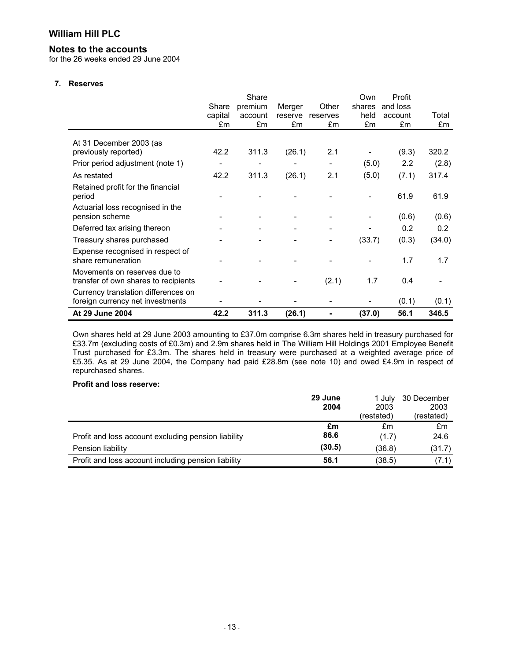#### **Notes to the accounts**

for the 26 weeks ended 29 June 2004

#### **7. Reserves**

|                                                                         |         | Share   |         |          | Own    | Profit   |        |
|-------------------------------------------------------------------------|---------|---------|---------|----------|--------|----------|--------|
|                                                                         | Share   | premium | Merger  | Other    | shares | and loss |        |
|                                                                         | capital | account | reserve | reserves | held   | account  | Total  |
|                                                                         | £m      | £m      | £m      | £m       | £m     | £m       | £m     |
| At 31 December 2003 (as                                                 |         |         |         |          |        |          |        |
| previously reported)                                                    | 42.2    | 311.3   | (26.1)  | 2.1      |        | (9.3)    | 320.2  |
| Prior period adjustment (note 1)                                        |         |         |         |          | (5.0)  | 2.2      | (2.8)  |
| As restated                                                             | 42.2    | 311.3   | (26.1)  | 2.1      | (5.0)  | (7.1)    | 317.4  |
| Retained profit for the financial<br>period                             |         |         |         |          |        | 61.9     | 61.9   |
| Actuarial loss recognised in the<br>pension scheme                      |         |         |         |          |        | (0.6)    | (0.6)  |
| Deferred tax arising thereon                                            |         |         |         |          |        | 0.2      | 0.2    |
| Treasury shares purchased                                               |         |         |         |          | (33.7) | (0.3)    | (34.0) |
| Expense recognised in respect of<br>share remuneration                  |         |         |         |          |        | 1.7      | 1.7    |
| Movements on reserves due to<br>transfer of own shares to recipients    |         |         |         | (2.1)    | 1.7    | 0.4      |        |
| Currency translation differences on<br>foreign currency net investments |         |         |         |          |        | (0.1)    | (0.1)  |
| At 29 June 2004                                                         | 42.2    | 311.3   | (26.1)  |          | (37.0) | 56.1     | 346.5  |

Own shares held at 29 June 2003 amounting to £37.0m comprise 6.3m shares held in treasury purchased for £33.7m (excluding costs of £0.3m) and 2.9m shares held in The William Hill Holdings 2001 Employee Benefit Trust purchased for £3.3m. The shares held in treasury were purchased at a weighted average price of £5.35. As at 29 June 2004, the Company had paid £28.8m (see note 10) and owed £4.9m in respect of repurchased shares.

#### **Profit and loss reserve:**

|                                                     | 29 June | 1 July     | 30 December |
|-----------------------------------------------------|---------|------------|-------------|
|                                                     | 2004    | 2003       | 2003        |
|                                                     |         | (restated) | (restated)  |
|                                                     | £m      | £m         | £m          |
| Profit and loss account excluding pension liability | 86.6    | (1.7)      | 24.6        |
| Pension liability                                   | (30.5)  | (36.8)     | (31.7)      |
| Profit and loss account including pension liability | 56.1    | (38.5)     | (7.1)       |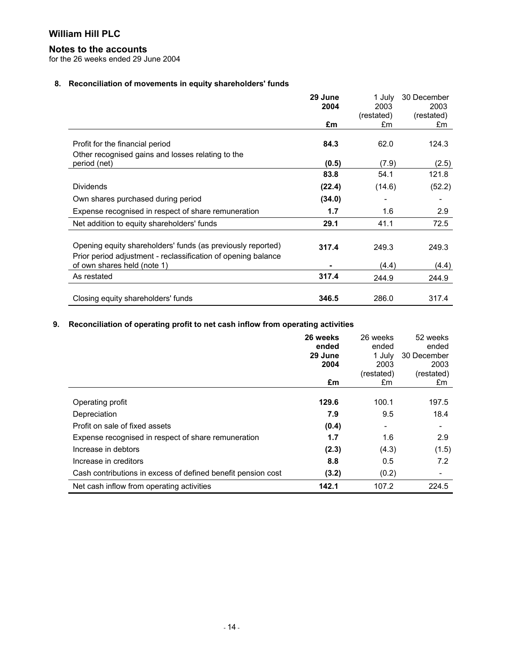### **Notes to the accounts**

for the 26 weeks ended 29 June 2004

## **8. Reconciliation of movements in equity shareholders' funds**

|                                                                                              | 29 June<br>2004<br>£m | 1 July<br>2003<br>(restated)<br>£m | 30 December<br>2003<br>(restated)<br>£m |
|----------------------------------------------------------------------------------------------|-----------------------|------------------------------------|-----------------------------------------|
|                                                                                              |                       |                                    |                                         |
| Profit for the financial period                                                              | 84.3                  | 62.0                               | 124.3                                   |
| Other recognised gains and losses relating to the                                            |                       |                                    |                                         |
| period (net)                                                                                 | (0.5)                 | (7.9)                              | (2.5)                                   |
|                                                                                              | 83.8                  | 54.1                               | 121.8                                   |
| <b>Dividends</b>                                                                             | (22.4)                | (14.6)                             | (52.2)                                  |
| Own shares purchased during period                                                           | (34.0)                |                                    |                                         |
| Expense recognised in respect of share remuneration                                          | 1.7                   | 1.6                                | 2.9                                     |
| Net addition to equity shareholders' funds                                                   | 29.1                  | 41.1                               | 72.5                                    |
|                                                                                              |                       |                                    |                                         |
| Opening equity shareholders' funds (as previously reported)                                  | 317.4                 | 249.3                              | 249.3                                   |
| Prior period adjustment - reclassification of opening balance<br>of own shares held (note 1) |                       | (4.4)                              | (4.4)                                   |
| As restated                                                                                  | 317.4                 | 244.9                              | 244.9                                   |
| Closing equity shareholders' funds                                                           | 346.5                 | 286.0                              | 317.4                                   |

#### **9. Reconciliation of operating profit to net cash inflow from operating activities**

|                                                              | 26 weeks<br>ended<br>29 June<br>2004<br>£m | 26 weeks<br>ended<br>1 July<br>2003<br>(restated)<br>£m | 52 weeks<br>ended<br>30 December<br>2003<br>(restated)<br>£m |
|--------------------------------------------------------------|--------------------------------------------|---------------------------------------------------------|--------------------------------------------------------------|
|                                                              |                                            |                                                         |                                                              |
| Operating profit                                             | 129.6                                      | 100.1                                                   | 197.5                                                        |
| Depreciation                                                 | 7.9                                        | 9.5                                                     | 18.4                                                         |
| Profit on sale of fixed assets                               | (0.4)                                      | $\overline{\phantom{a}}$                                |                                                              |
| Expense recognised in respect of share remuneration          | 1.7                                        | 1.6                                                     | 2.9                                                          |
| Increase in debtors                                          | (2.3)                                      | (4.3)                                                   | (1.5)                                                        |
| Increase in creditors                                        | 8.8                                        | 0.5                                                     | 7.2                                                          |
| Cash contributions in excess of defined benefit pension cost | (3.2)                                      | (0.2)                                                   |                                                              |
| Net cash inflow from operating activities                    | 142.1                                      | 107.2                                                   | 224.5                                                        |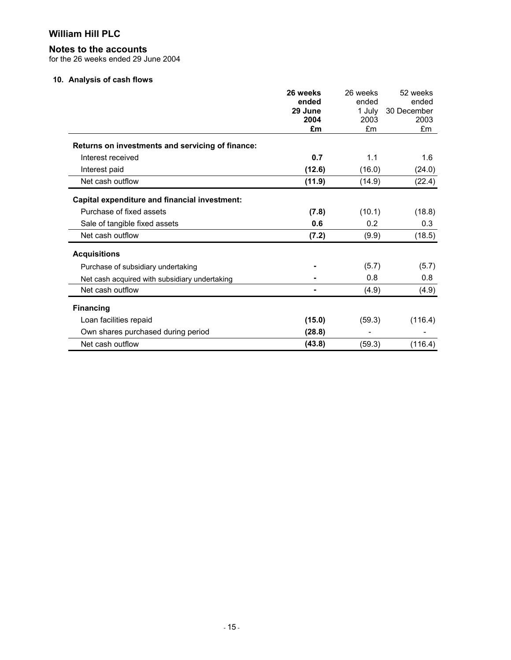## **Notes to the accounts**

for the 26 weeks ended 29 June 2004

#### **10. Analysis of cash flows**

|                                                  | 26 weeks | 26 weeks | 52 weeks    |
|--------------------------------------------------|----------|----------|-------------|
|                                                  | ended    | ended    | ended       |
|                                                  | 29 June  | 1 July   | 30 December |
|                                                  | 2004     | 2003     | 2003        |
|                                                  | £m       | £m       | £m          |
| Returns on investments and servicing of finance: |          |          |             |
| Interest received                                | 0.7      | 1.1      | 1.6         |
| Interest paid                                    | (12.6)   | (16.0)   | (24.0)      |
| Net cash outflow                                 | (11.9)   | (14.9)   | (22.4)      |
| Capital expenditure and financial investment:    |          |          |             |
| Purchase of fixed assets                         | (7.8)    | (10.1)   | (18.8)      |
| Sale of tangible fixed assets                    | 0.6      | 0.2      | 0.3         |
| Net cash outflow                                 | (7.2)    | (9.9)    | (18.5)      |
| <b>Acquisitions</b>                              |          |          |             |
| Purchase of subsidiary undertaking               |          | (5.7)    | (5.7)       |
| Net cash acquired with subsidiary undertaking    |          | 0.8      | 0.8         |
| Net cash outflow                                 |          | (4.9)    | (4.9)       |
| <b>Financing</b>                                 |          |          |             |
| Loan facilities repaid                           | (15.0)   | (59.3)   | (116.4)     |
| Own shares purchased during period               | (28.8)   |          |             |
| Net cash outflow                                 | (43.8)   | (59.3)   | (116.4)     |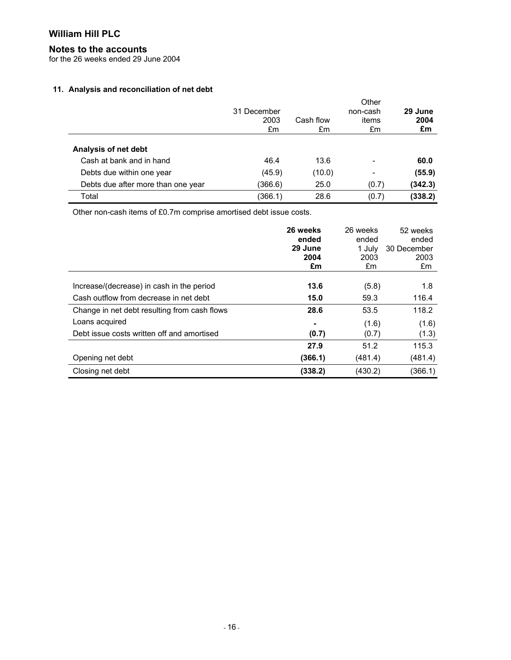### **Notes to the accounts**

for the 26 weeks ended 29 June 2004

#### **11. Analysis and reconciliation of net debt**

|                                    | 31 December<br>2003<br>£m | Cash flow<br>£m | Other<br>non-cash<br>items<br>£m | 29 June<br>2004<br>£m |
|------------------------------------|---------------------------|-----------------|----------------------------------|-----------------------|
| Analysis of net debt               |                           |                 |                                  |                       |
| Cash at bank and in hand           | 46.4                      | 13.6            | $\overline{\phantom{0}}$         | 60.0                  |
| Debts due within one year          | (45.9)                    | (10.0)          | $\overline{\phantom{0}}$         | (55.9)                |
| Debts due after more than one year | (366.6)                   | 25.0            | (0.7)                            | (342.3)               |
| Total                              | (366.1)                   | 28.6            | (0.7)                            | (338.2)               |

Other non-cash items of £0.7m comprise amortised debt issue costs.

|                                              | 26 weeks<br>ended<br>29 June | 26 weeks<br>ended<br>1 July | 52 weeks<br>ended<br>30 December |
|----------------------------------------------|------------------------------|-----------------------------|----------------------------------|
|                                              | 2004<br>£m                   | 2003<br>£m                  | 2003<br>£m                       |
| Increase/(decrease) in cash in the period    | 13.6                         | (5.8)                       | 1.8                              |
| Cash outflow from decrease in net debt       | 15.0                         | 59.3                        | 116.4                            |
| Change in net debt resulting from cash flows | 28.6                         | 53.5                        | 118.2                            |
| Loans acquired                               |                              | (1.6)                       | (1.6)                            |
| Debt issue costs written off and amortised   | (0.7)                        | (0.7)                       | (1.3)                            |
|                                              | 27.9                         | 51.2                        | 115.3                            |
| Opening net debt                             | (366.1)                      | (481.4)                     | (481.4)                          |
| Closing net debt                             | (338.2)                      | (430.2)                     | (366.1)                          |